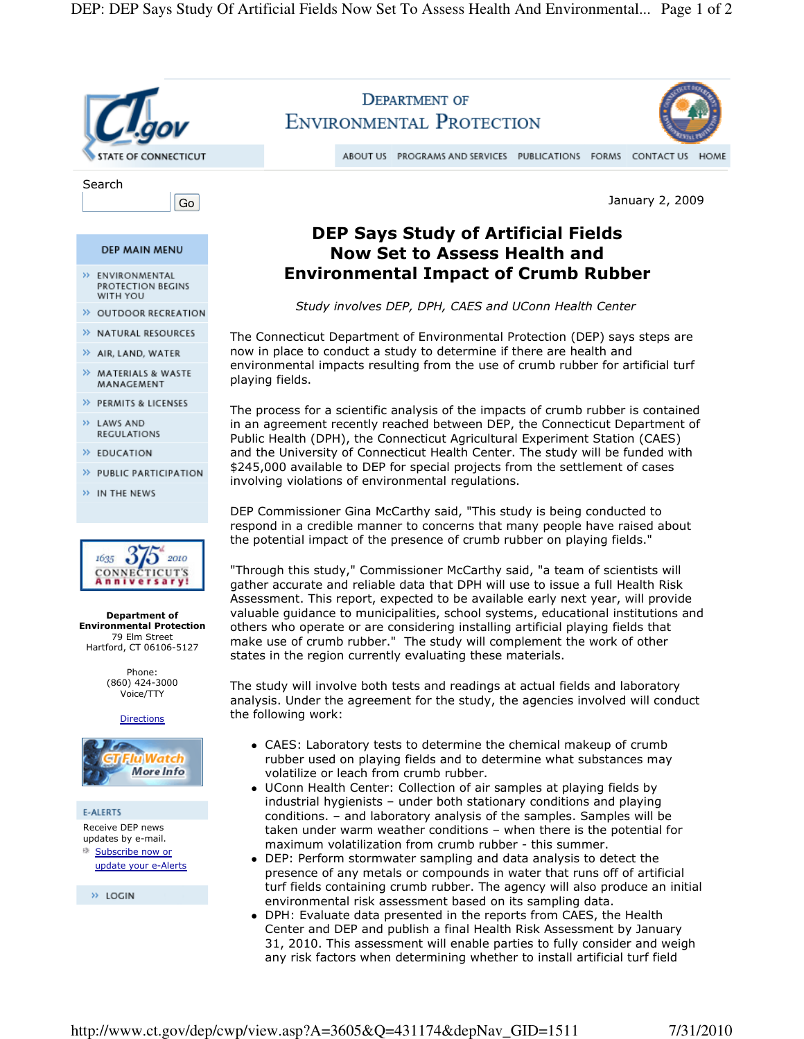